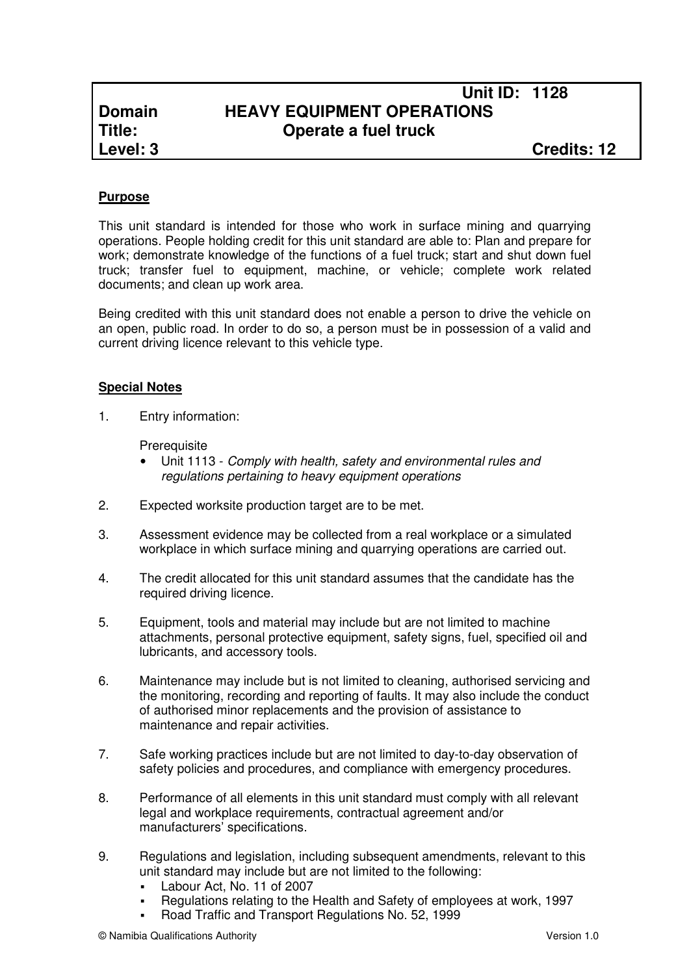# **Unit ID: 1128 Domain HEAVY EQUIPMENT OPERATIONS Title: Operate a fuel truck**

# **Purpose**

This unit standard is intended for those who work in surface mining and quarrying operations. People holding credit for this unit standard are able to: Plan and prepare for work; demonstrate knowledge of the functions of a fuel truck; start and shut down fuel truck; transfer fuel to equipment, machine, or vehicle; complete work related documents; and clean up work area.

Being credited with this unit standard does not enable a person to drive the vehicle on an open, public road. In order to do so, a person must be in possession of a valid and current driving licence relevant to this vehicle type.

### **Special Notes**

1. Entry information:

**Prerequisite** 

- Unit 1113 Comply with health, safety and environmental rules and regulations pertaining to heavy equipment operations
- 2. Expected worksite production target are to be met.
- 3. Assessment evidence may be collected from a real workplace or a simulated workplace in which surface mining and quarrying operations are carried out.
- 4. The credit allocated for this unit standard assumes that the candidate has the required driving licence.
- 5. Equipment, tools and material may include but are not limited to machine attachments, personal protective equipment, safety signs, fuel, specified oil and lubricants, and accessory tools.
- 6. Maintenance may include but is not limited to cleaning, authorised servicing and the monitoring, recording and reporting of faults. It may also include the conduct of authorised minor replacements and the provision of assistance to maintenance and repair activities.
- 7. Safe working practices include but are not limited to day-to-day observation of safety policies and procedures, and compliance with emergency procedures.
- 8. Performance of all elements in this unit standard must comply with all relevant legal and workplace requirements, contractual agreement and/or manufacturers' specifications.
- 9. Regulations and legislation, including subsequent amendments, relevant to this unit standard may include but are not limited to the following:
	- Labour Act, No. 11 of 2007
	- Regulations relating to the Health and Safety of employees at work, 1997
	- Road Traffic and Transport Regulations No. 52, 1999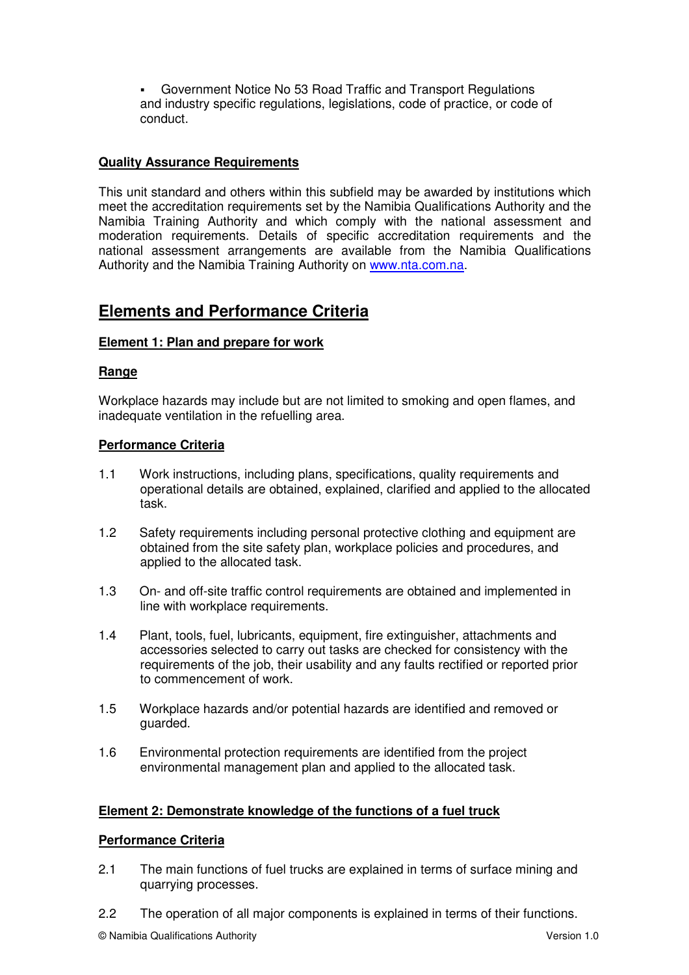Government Notice No 53 Road Traffic and Transport Regulations and industry specific regulations, legislations, code of practice, or code of conduct.

## **Quality Assurance Requirements**

This unit standard and others within this subfield may be awarded by institutions which meet the accreditation requirements set by the Namibia Qualifications Authority and the Namibia Training Authority and which comply with the national assessment and moderation requirements. Details of specific accreditation requirements and the national assessment arrangements are available from the Namibia Qualifications Authority and the Namibia Training Authority on www.nta.com.na.

# **Elements and Performance Criteria**

# **Element 1: Plan and prepare for work**

## **Range**

Workplace hazards may include but are not limited to smoking and open flames, and inadequate ventilation in the refuelling area.

# **Performance Criteria**

- 1.1 Work instructions, including plans, specifications, quality requirements and operational details are obtained, explained, clarified and applied to the allocated task.
- 1.2 Safety requirements including personal protective clothing and equipment are obtained from the site safety plan, workplace policies and procedures, and applied to the allocated task.
- 1.3 On- and off-site traffic control requirements are obtained and implemented in line with workplace requirements.
- 1.4 Plant, tools, fuel, lubricants, equipment, fire extinguisher, attachments and accessories selected to carry out tasks are checked for consistency with the requirements of the job, their usability and any faults rectified or reported prior to commencement of work.
- 1.5 Workplace hazards and/or potential hazards are identified and removed or guarded.
- 1.6 Environmental protection requirements are identified from the project environmental management plan and applied to the allocated task.

## **Element 2: Demonstrate knowledge of the functions of a fuel truck**

## **Performance Criteria**

- 2.1 The main functions of fuel trucks are explained in terms of surface mining and quarrying processes.
- 2.2 The operation of all major components is explained in terms of their functions.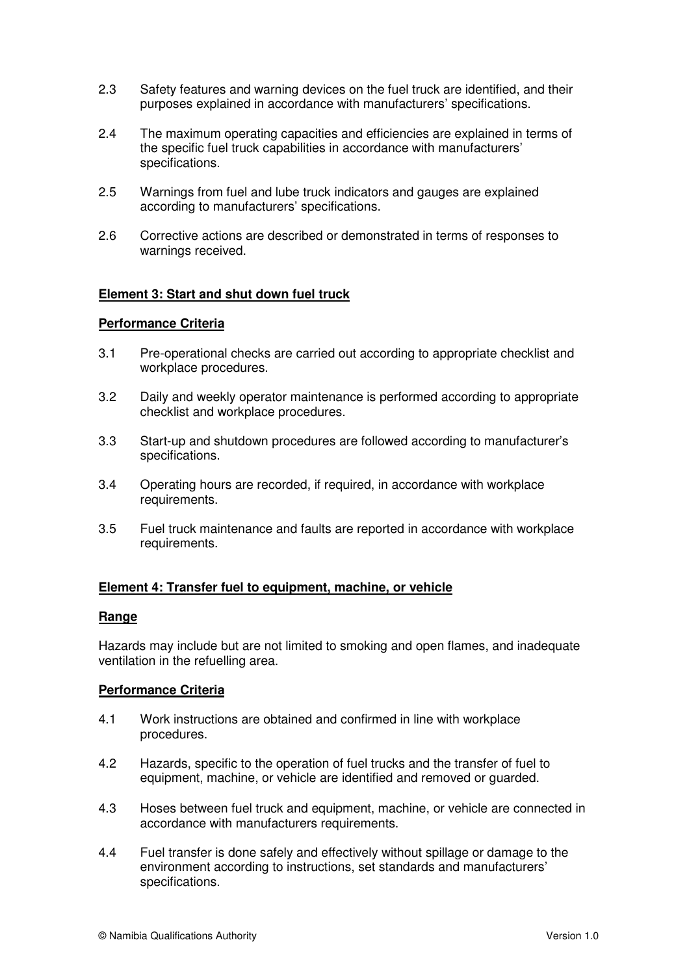- 2.3 Safety features and warning devices on the fuel truck are identified, and their purposes explained in accordance with manufacturers' specifications.
- 2.4 The maximum operating capacities and efficiencies are explained in terms of the specific fuel truck capabilities in accordance with manufacturers' specifications.
- 2.5 Warnings from fuel and lube truck indicators and gauges are explained according to manufacturers' specifications.
- 2.6 Corrective actions are described or demonstrated in terms of responses to warnings received.

## **Element 3: Start and shut down fuel truck**

### **Performance Criteria**

- 3.1 Pre-operational checks are carried out according to appropriate checklist and workplace procedures.
- 3.2 Daily and weekly operator maintenance is performed according to appropriate checklist and workplace procedures.
- 3.3 Start-up and shutdown procedures are followed according to manufacturer's specifications.
- 3.4 Operating hours are recorded, if required, in accordance with workplace requirements.
- 3.5 Fuel truck maintenance and faults are reported in accordance with workplace requirements.

#### **Element 4: Transfer fuel to equipment, machine, or vehicle**

#### **Range**

Hazards may include but are not limited to smoking and open flames, and inadequate ventilation in the refuelling area.

#### **Performance Criteria**

- 4.1 Work instructions are obtained and confirmed in line with workplace procedures.
- 4.2 Hazards, specific to the operation of fuel trucks and the transfer of fuel to equipment, machine, or vehicle are identified and removed or guarded.
- 4.3 Hoses between fuel truck and equipment, machine, or vehicle are connected in accordance with manufacturers requirements.
- 4.4 Fuel transfer is done safely and effectively without spillage or damage to the environment according to instructions, set standards and manufacturers' specifications.